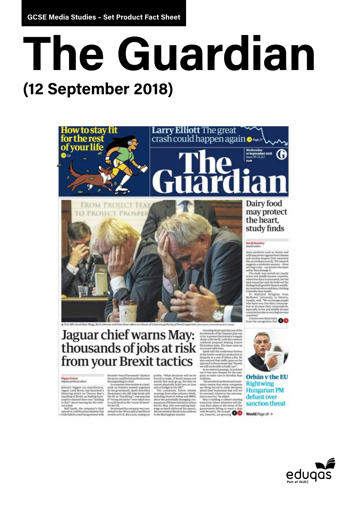# The Guardian **(12 September 2018)**



Jaguar chief warns May: thousands of jobs at risk from your Brexit tactics

#### Pippa Crerar<br>Deputy political editor

itain's biggest car manufacture,<br>guar Land Rover, has launched a<br>istering attack on Theresa May's<br>andling of Brexit, as leading Euroceptics claimed there was "nothing<br>o fear" about leaving the EU with-

for the UK.<br>Ralf Speth, the company's chief listensed the company was com-<br>Ralf Speth, the company's chief mitted to the UK but saids hard Brexit<br>she failed to reach an agreement with would cost it £1.2bn a year, wiping ou

Brussels "tens of<br>thousands" of<br>jobs in the sector could be lost and its factories faced ginding to a half.<br>The state information and altering term in a land-only must<br>increase the state information by the government, Spe

jobs<br>in profits. "What decisions will we be forced to make,<br> $\mu$  filterial means not merely that costs go up, but that we<br>merely that costs go up, but that we annuel and on budget in the UKP<br>"<br> $\alpha$  canners to fillow simil

incomes generally damaging con-<br>sequences of Britain's decision to leave<br>the EU. May, who was waiting back-<br>stage as Speth delivered his speech, stage as Speth delivered his speech,<br>did not mention Brexit in her address<br>to the Birmingham summit.

d that traffic jams to Dovermean<br>whe able to b out it was now cheaper for the company to make cars in Slovakia than<br>in Britain. "Six months from Brexit and uncer-

"Sax months from Bresti and uncer-<br>the transmission comparison and the best paramethat many comparison<br>are being forced to make decisions <br>and best transmission between the velocity betweened, whatever the outcome,<br>but th



defiant over sanction threat

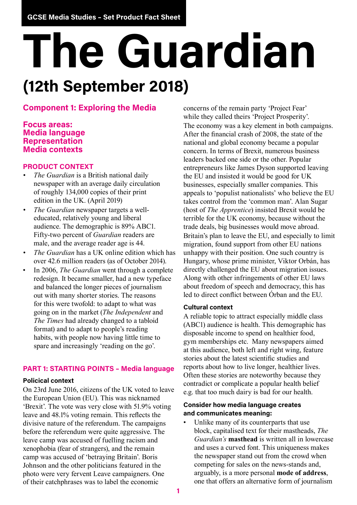# **The Guardian (12th September 2018)**

# **Component 1: Exploring the Media**

### **Focus areas: Media language Representation Media contexts**

#### **PRODUCT CONTEXT**

- *• The Guardian* is a British national daily newspaper with an average daily circulation of roughly 134,000 copies of their print edition in the UK. (April 2019)
- *• The Guardian* newspaper targets a welleducated, relatively young and liberal audience. The demographic is 89% ABC1. Fifty-two percent of *Guardian* readers are male, and the average reader age is 44.
- *• The Guardian* has a UK online edition which has over 42.6 million readers (as of October 2014).
- In 2006, *The Guardian* went through a complete redesign. It became smaller, had a new typeface and balanced the longer pieces of journalism out with many shorter stories. The reasons for this were twofold: to adapt to what was going on in the market (*The Independent* and *The Times* had already changed to a tabloid format) and to adapt to people's reading habits, with people now having little time to spare and increasingly 'reading on the go'.

#### **PART 1: STARTING POINTS – Media language**

#### **Policical context**

On 23rd June 2016, citizens of the UK voted to leave the European Union (EU). This was nicknamed 'Brexit'. The vote was very close with 51.9% voting leave and 48.1% voting remain. This reflects the divisive nature of the referendum. The campaigns before the referendum were quite aggressive. The leave camp was accused of fuelling racism and xenophobia (fear of strangers), and the remain camp was accused of 'betraying Britain'. Boris Johnson and the other politicians featured in the photo were very fervent Leave campaigners. One of their catchphrases was to label the economic

concerns of the remain party 'Project Fear' while they called theirs 'Project Prosperity'. The economy was a key element in both campaigns. After the financial crash of 2008, the state of the national and global economy became a popular concern. In terms of Brexit, numerous business leaders backed one side or the other. Popular entrepreneurs like James Dyson supported leaving the EU and insisted it would be good for UK businesses, especially smaller companies. This appeals to 'populist nationalists' who believe the EU takes control from the 'common man'. Alan Sugar (host of *The Apprentice*) insisted Brexit would be terrible for the UK economy, because without the trade deals, big businesses would move abroad. Britain's plan to leave the EU, and especially to limit migration, found support from other EU nations unhappy with their position. One such country is Hungary, whose prime minister, Viktor Orbán, has directly challenged the EU about migration issues. Along with other infringements of other EU laws about freedom of speech and democracy, this has led to direct conflict between Órban and the EU.

#### **Cultural context**

A reliable topic to attract especially middle class (ABC1) audience is health. This demographic has disposable income to spend on healthier food, gym memberships etc. Many newspapers aimed at this audience, both left and right wing, feature stories about the latest scientific studies and reports about how to live longer, healthier lives. Often these stories are noteworthy because they contradict or complicate a popular health belief e.g. that too much dairy is bad for our health.

#### **Consider how media language creates and communicates meaning:**

Unlike many of its counterparts that use block, capitalised text for their mastheads, *The Guardian's* **masthead** is written all in lowercase and uses a curved font. This uniqueness makes the newspaper stand out from the crowd when competing for sales on the news-stands and, arguably, is a more personal **mode of address**, one that offers an alternative form of journalism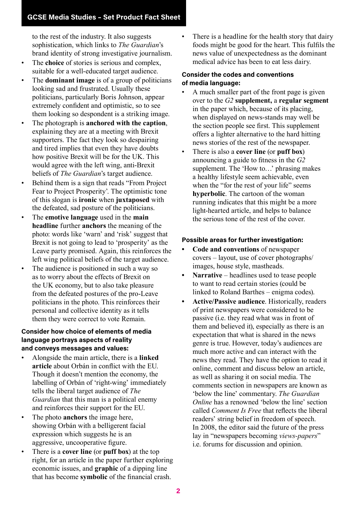to the rest of the industry. It also suggests sophistication, which links to *The Guardian*'s brand identity of strong investigative journalism.

- The **choice** of stories is serious and complex, suitable for a well-educated target audience.
- The **dominant image** is of a group of politicians looking sad and frustrated. Usually these politicians, particularly Boris Johnson, appear extremely confident and optimistic, so to see them looking so despondent is a striking image.
- The photograph is **anchored with the caption**, explaining they are at a meeting with Brexit supporters. The fact they look so despairing and tired implies that even they have doubts how positive Brexit will be for the UK. This would agree with the left wing, anti-Brexit beliefs of *The Guardian*'s target audience.
- Behind them is a sign that reads "From Project Fear to Project Prosperity'. The optimistic tone of this slogan is **ironic** when **juxtaposed** with the defeated, sad posture of the politicians.
- The **emotive language** used in the **main headline** further **anchors** the meaning of the photo: words like 'warn' and 'risk' suggest that Brexit is not going to lead to 'prosperity' as the Leave party promised. Again, this reinforces the left wing political beliefs of the target audience.
- The audience is positioned in such a way so as to worry about the effects of Brexit on the UK economy, but to also take pleasure from the defeated postures of the pro-Leave politicians in the photo. This reinforces their personal and collective identity as it tells them they were correct to vote Remain.

#### **Consider how choice of elements of media language portrays aspects of reality and conveys messages and values:**

- Alongside the main article, there is a **linked article** about Orbán in conflict with the EU. Though it doesn't mention the economy, the labelling of Orbán of 'right-wing' immediately tells the liberal target audience of *The Guardian* that this man is a political enemy and reinforces their support for the EU.
- The photo **anchors** the image here, showing Orbán with a belligerent facial expression which suggests he is an aggressive, uncooperative figure.
- There is a **cover line** (or **puff box**) at the top right, for an article in the paper further exploring economic issues, and **graphic** of a dipping line that has become **symbolic** of the financial crash.

• There is a headline for the health story that dairy foods might be good for the heart. This fulfils the news value of unexpectedness as the dominant medical advice has been to eat less dairy.

#### **Consider the codes and conventions of media language:**

- A much smaller part of the front page is given over to the *G2* **supplement,** a **regular segment** in the paper which, because of its placing, when displayed on news-stands may well be the section people see first. This supplement offers a lighter alternative to the hard hitting news stories of the rest of the newspaper.
- There is also a **cover line** (or **puff box**) announcing a guide to fitness in the *G2* supplement. The 'How to…' phrasing makes a healthy lifestyle seem achievable, even when the "for the rest of your life" seems **hyperbolic**. The cartoon of the woman running indicates that this might be a more light-hearted article, and helps to balance the serious tone of the rest of the cover.

#### **Possible areas for further investigation:**

- **• Code and conventions** of newspaper covers – layout, use of cover photographs/ images, house style, mastheads.
- **• Narrative**  headlines used to tease people to want to read certain stories (could be linked to Roland Barthes – enigma codes).
- **• Active/Passive audience**. Historically, readers of print newspapers were considered to be passive (i.e. they read what was in front of them and believed it), especially as there is an expectation that what is shared in the news genre is true. However, today's audiences are much more active and can interact with the news they read. They have the option to read it online, comment and discuss below an article, as well as sharing it on social media. The comments section in newspapers are known as 'below the line' commentary. *The Guardian Online* has a renowned 'below the line' section called *Comment Is Free* that reflects the liberal readers' string belief in freedom of speech. In 2008, the editor said the future of the press lay in "newspapers becoming *views-papers*" i.e. forums for discussion and opinion.